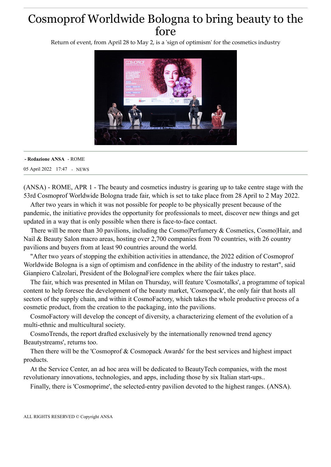## Cosmoprof Worldwide Bologna to bring beauty to the fore

Return of event, from April 28 to May 2, is a 'sign of optimism' for the cosmetics industry



## 05 April 2022 17:47 - NEWS **- Redazione ANSA** - ROME

(ANSA) - ROME, APR 1 - The beauty and cosmetics industry is gearing up to take centre stage with the 53rd Cosmoprof Worldwide Bologna trade fair, which is set to take place from 28 April to 2 May 2022.

After two years in which it was not possible for people to be physically present because of the pandemic, the initiative provides the opportunity for professionals to meet, discover new things and get updated in a way that is only possible when there is face-to-face contact.

There will be more than 30 pavilions, including the Cosmo|Perfumery & Cosmetics, Cosmo|Hair, and Nail & Beauty Salon macro areas, hosting over 2,700 companies from 70 countries, with 26 country pavilions and buyers from at least 90 countries around the world.

"After two years of stopping the exhibition activities in attendance, the 2022 edition of Cosmoprof Worldwide Bologna is a sign of optimism and confidence in the ability of the industry to restart", said Gianpiero Calzolari, President of the BolognaFiere complex where the fair takes place.

The fair, which was presented in Milan on Thursday, will feature 'Cosmotalks', a programme of topical content to help foresee the development of the beauty market, 'Cosmopack', the only fair that hosts all sectors of the supply chain, and within it CosmoFactory, which takes the whole productive process of a cosmetic product, from the creation to the packaging, into the pavilions.

CosmoFactory will develop the concept of diversity, a characterizing element of the evolution of a multi-ethnic and multicultural society.

CosmoTrends, the report drafted exclusively by the internationally renowned trend agency Beautystreams', returns too.

Then there will be the 'Cosmoprof & Cosmopack Awards' for the best services and highest impact products.

At the Service Center, an ad hoc area will be dedicated to BeautyTech companies, with the most revolutionary innovations, technologies, and apps, including those by six Italian start-ups..

Finally, there is 'Cosmoprime', the selected-entry pavilion devoted to the highest ranges. (ANSA).